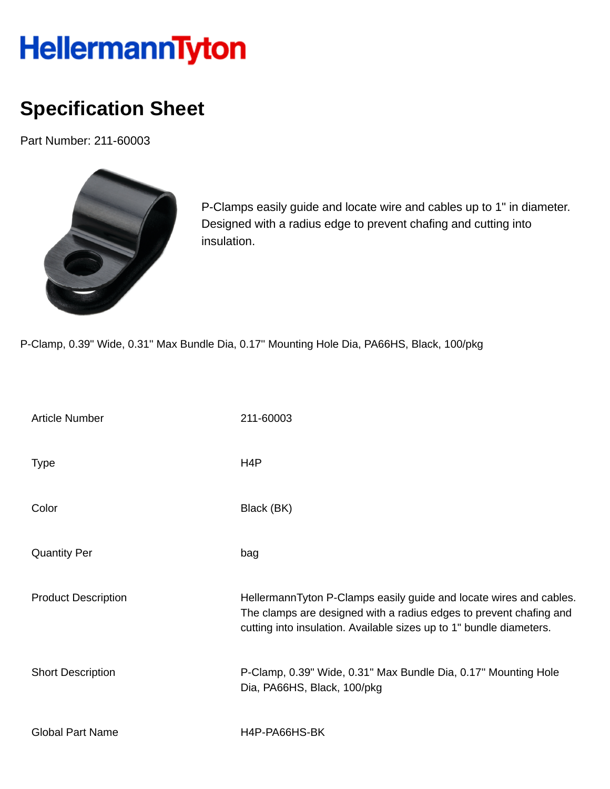## HellermannTyton

## **Specification Sheet**

Part Number: 211-60003



P-Clamps easily guide and locate wire and cables up to 1" in diameter. Designed with a radius edge to prevent chafing and cutting into insulation.

P-Clamp, 0.39" Wide, 0.31'' Max Bundle Dia, 0.17'' Mounting Hole Dia, PA66HS, Black, 100/pkg

| <b>Article Number</b>      | 211-60003                                                                                                                                                                                                       |
|----------------------------|-----------------------------------------------------------------------------------------------------------------------------------------------------------------------------------------------------------------|
| <b>Type</b>                | H <sub>4</sub> P                                                                                                                                                                                                |
| Color                      | Black (BK)                                                                                                                                                                                                      |
| <b>Quantity Per</b>        | bag                                                                                                                                                                                                             |
| <b>Product Description</b> | HellermannTyton P-Clamps easily guide and locate wires and cables.<br>The clamps are designed with a radius edges to prevent chafing and<br>cutting into insulation. Available sizes up to 1" bundle diameters. |
| <b>Short Description</b>   | P-Clamp, 0.39" Wide, 0.31" Max Bundle Dia, 0.17" Mounting Hole<br>Dia, PA66HS, Black, 100/pkg                                                                                                                   |
| <b>Global Part Name</b>    | H4P-PA66HS-BK                                                                                                                                                                                                   |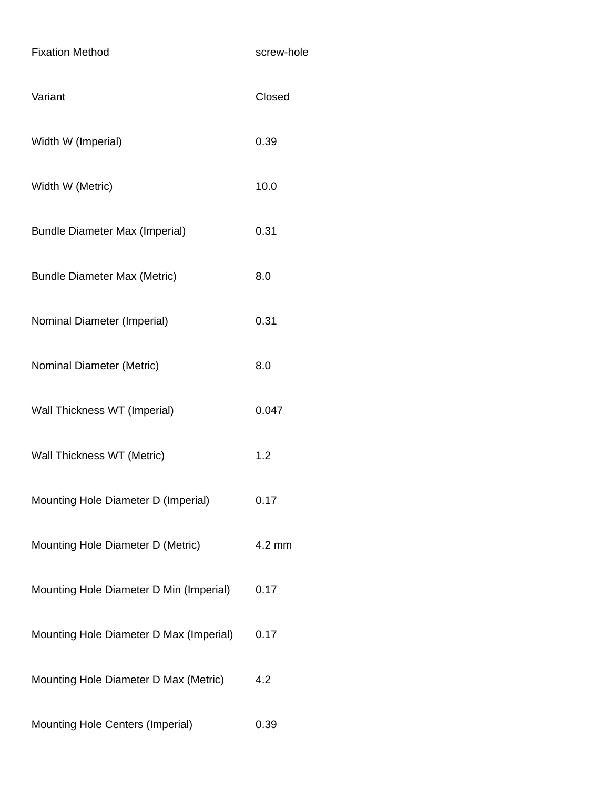| <b>Fixation Method</b>                  | screw-hole |
|-----------------------------------------|------------|
| Variant                                 | Closed     |
| Width W (Imperial)                      | 0.39       |
| Width W (Metric)                        | 10.0       |
| <b>Bundle Diameter Max (Imperial)</b>   | 0.31       |
| <b>Bundle Diameter Max (Metric)</b>     | 8.0        |
| Nominal Diameter (Imperial)             | 0.31       |
| Nominal Diameter (Metric)               | 8.0        |
| Wall Thickness WT (Imperial)            | 0.047      |
| Wall Thickness WT (Metric)              | 1.2        |
| Mounting Hole Diameter D (Imperial)     | 0.17       |
| Mounting Hole Diameter D (Metric)       | 4.2 mm     |
| Mounting Hole Diameter D Min (Imperial) | 0.17       |
| Mounting Hole Diameter D Max (Imperial) | 0.17       |
| Mounting Hole Diameter D Max (Metric)   | 4.2        |
| Mounting Hole Centers (Imperial)        | 0.39       |